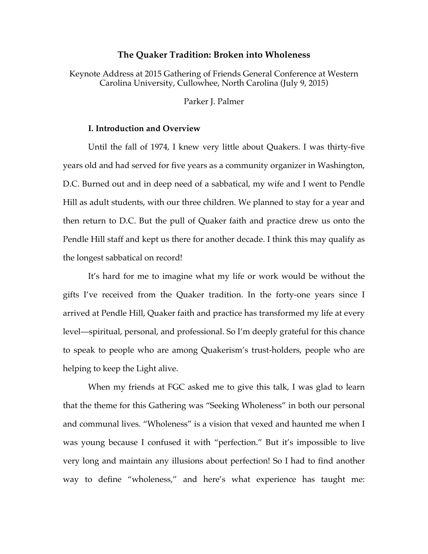## **The Quaker Tradition: Broken into Wholeness**

Keynote Address at 2015 Gathering of Friends General Conference at Western Carolina University, Cullowhee, North Carolina (July 9, 2015)

Parker J. Palmer

# **I. Introduction and Overview**

Until the fall of 1974, I knew very little about Quakers. I was thirty-five years old and had served for five years as a community organizer in Washington, D.C. Burned out and in deep need of a sabbatical, my wife and I went to Pendle Hill as adult students, with our three children. We planned to stay for a year and then return to D.C. But the pull of Quaker faith and practice drew us onto the Pendle Hill staff and kept us there for another decade. I think this may qualify as the longest sabbatical on record!

It's hard for me to imagine what my life or work would be without the gifts I've received from the Quaker tradition. In the forty-one years since I arrived at Pendle Hill, Quaker faith and practice has transformed my life at every level—spiritual, personal, and professional. So I'm deeply grateful for this chance to speak to people who are among Quakerism's trust-holders, people who are helping to keep the Light alive.

When my friends at FGC asked me to give this talk, I was glad to learn that the theme for this Gathering was "Seeking Wholeness" in both our personal and communal lives. "Wholeness" is a vision that vexed and haunted me when I was young because I confused it with "perfection." But it's impossible to live very long and maintain any illusions about perfection! So I had to find another way to define "wholeness," and here's what experience has taught me: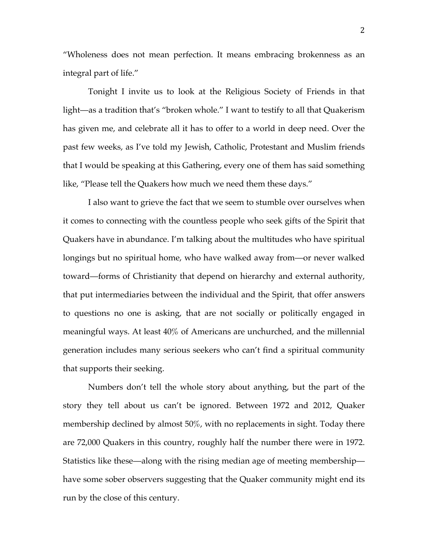"Wholeness does not mean perfection. It means embracing brokenness as an integral part of life."

Tonight I invite us to look at the Religious Society of Friends in that light—as a tradition that's "broken whole." I want to testify to all that Quakerism has given me, and celebrate all it has to offer to a world in deep need. Over the past few weeks, as I've told my Jewish, Catholic, Protestant and Muslim friends that I would be speaking at this Gathering, every one of them has said something like, "Please tell the Quakers how much we need them these days."

I also want to grieve the fact that we seem to stumble over ourselves when it comes to connecting with the countless people who seek gifts of the Spirit that Quakers have in abundance. I'm talking about the multitudes who have spiritual longings but no spiritual home, who have walked away from—or never walked toward—forms of Christianity that depend on hierarchy and external authority, that put intermediaries between the individual and the Spirit, that offer answers to questions no one is asking, that are not socially or politically engaged in meaningful ways. At least 40% of Americans are unchurched, and the millennial generation includes many serious seekers who can't find a spiritual community that supports their seeking.

Numbers don't tell the whole story about anything, but the part of the story they tell about us can't be ignored. Between 1972 and 2012, Quaker membership declined by almost 50%, with no replacements in sight. Today there are 72,000 Quakers in this country, roughly half the number there were in 1972. Statistics like these—along with the rising median age of meeting membership have some sober observers suggesting that the Quaker community might end its run by the close of this century.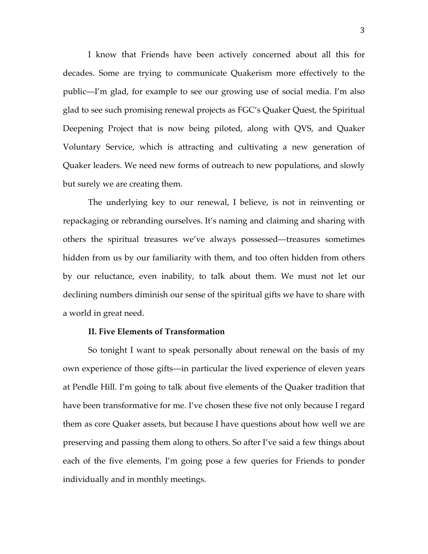I know that Friends have been actively concerned about all this for decades. Some are trying to communicate Quakerism more effectively to the public—I'm glad, for example to see our growing use of social media. I'm also glad to see such promising renewal projects as FGC's Quaker Quest, the Spiritual Deepening Project that is now being piloted, along with QVS, and Quaker Voluntary Service, which is attracting and cultivating a new generation of Quaker leaders. We need new forms of outreach to new populations, and slowly but surely we are creating them.

The underlying key to our renewal, I believe, is not in reinventing or repackaging or rebranding ourselves. It's naming and claiming and sharing with others the spiritual treasures we've always possessed—treasures sometimes hidden from us by our familiarity with them, and too often hidden from others by our reluctance, even inability, to talk about them. We must not let our declining numbers diminish our sense of the spiritual gifts we have to share with a world in great need.

# **II. Five Elements of Transformation**

So tonight I want to speak personally about renewal on the basis of my own experience of those gifts—in particular the lived experience of eleven years at Pendle Hill. I'm going to talk about five elements of the Quaker tradition that have been transformative for me. I've chosen these five not only because I regard them as core Quaker assets, but because I have questions about how well we are preserving and passing them along to others. So after I've said a few things about each of the five elements, I'm going pose a few queries for Friends to ponder individually and in monthly meetings.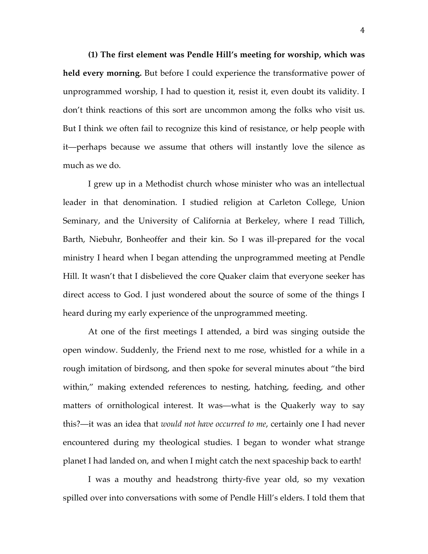**(1) The first element was Pendle Hill's meeting for worship, which was held every morning.** But before I could experience the transformative power of unprogrammed worship, I had to question it, resist it, even doubt its validity. I don't think reactions of this sort are uncommon among the folks who visit us. But I think we often fail to recognize this kind of resistance, or help people with it—perhaps because we assume that others will instantly love the silence as much as we do.

I grew up in a Methodist church whose minister who was an intellectual leader in that denomination. I studied religion at Carleton College, Union Seminary, and the University of California at Berkeley, where I read Tillich, Barth, Niebuhr, Bonheoffer and their kin. So I was ill-prepared for the vocal ministry I heard when I began attending the unprogrammed meeting at Pendle Hill. It wasn't that I disbelieved the core Quaker claim that everyone seeker has direct access to God. I just wondered about the source of some of the things I heard during my early experience of the unprogrammed meeting.

At one of the first meetings I attended, a bird was singing outside the open window. Suddenly, the Friend next to me rose, whistled for a while in a rough imitation of birdsong, and then spoke for several minutes about "the bird within," making extended references to nesting, hatching, feeding, and other matters of ornithological interest. It was—what is the Quakerly way to say this?—it was an idea that *would not have occurred to me*, certainly one I had never encountered during my theological studies. I began to wonder what strange planet I had landed on, and when I might catch the next spaceship back to earth!

I was a mouthy and headstrong thirty-five year old, so my vexation spilled over into conversations with some of Pendle Hill's elders. I told them that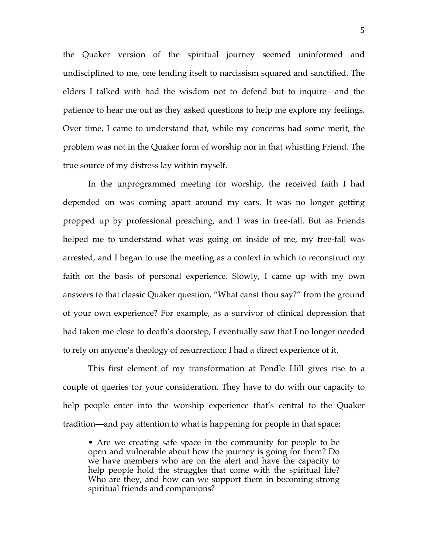the Quaker version of the spiritual journey seemed uninformed and undisciplined to me, one lending itself to narcissism squared and sanctified. The elders I talked with had the wisdom not to defend but to inquire—and the patience to hear me out as they asked questions to help me explore my feelings. Over time, I came to understand that, while my concerns had some merit, the problem was not in the Quaker form of worship nor in that whistling Friend. The true source of my distress lay within myself.

In the unprogrammed meeting for worship, the received faith I had depended on was coming apart around my ears. It was no longer getting propped up by professional preaching, and I was in free-fall. But as Friends helped me to understand what was going on inside of me, my free-fall was arrested, and I began to use the meeting as a context in which to reconstruct my faith on the basis of personal experience. Slowly, I came up with my own answers to that classic Quaker question, "What canst thou say?" from the ground of your own experience? For example, as a survivor of clinical depression that had taken me close to death's doorstep, I eventually saw that I no longer needed to rely on anyone's theology of resurrection: I had a direct experience of it.

This first element of my transformation at Pendle Hill gives rise to a couple of queries for your consideration. They have to do with our capacity to help people enter into the worship experience that's central to the Quaker tradition—and pay attention to what is happening for people in that space:

• Are we creating safe space in the community for people to be open and vulnerable about how the journey is going for them? Do we have members who are on the alert and have the capacity to help people hold the struggles that come with the spiritual life? Who are they, and how can we support them in becoming strong spiritual friends and companions?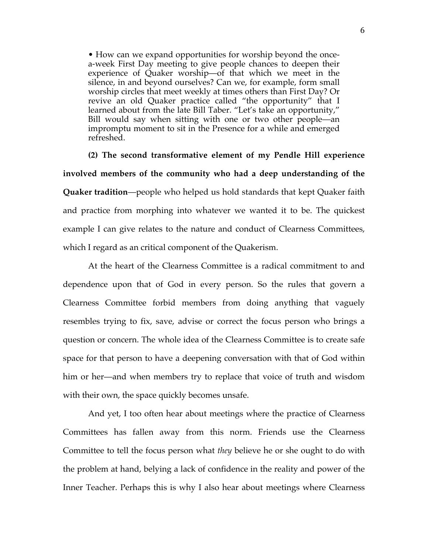• How can we expand opportunities for worship beyond the oncea-week First Day meeting to give people chances to deepen their experience of Quaker worship—of that which we meet in the silence, in and beyond ourselves? Can we, for example, form small worship circles that meet weekly at times others than First Day? Or revive an old Quaker practice called "the opportunity" that I learned about from the late Bill Taber. "Let's take an opportunity," Bill would say when sitting with one or two other people—an impromptu moment to sit in the Presence for a while and emerged refreshed.

**(2) The second transformative element of my Pendle Hill experience involved members of the community who had a deep understanding of the Quaker tradition**—people who helped us hold standards that kept Quaker faith and practice from morphing into whatever we wanted it to be. The quickest example I can give relates to the nature and conduct of Clearness Committees, which I regard as an critical component of the Quakerism.

At the heart of the Clearness Committee is a radical commitment to and dependence upon that of God in every person. So the rules that govern a Clearness Committee forbid members from doing anything that vaguely resembles trying to fix, save, advise or correct the focus person who brings a question or concern. The whole idea of the Clearness Committee is to create safe space for that person to have a deepening conversation with that of God within him or her—and when members try to replace that voice of truth and wisdom with their own, the space quickly becomes unsafe.

And yet, I too often hear about meetings where the practice of Clearness Committees has fallen away from this norm. Friends use the Clearness Committee to tell the focus person what *they* believe he or she ought to do with the problem at hand, belying a lack of confidence in the reality and power of the Inner Teacher. Perhaps this is why I also hear about meetings where Clearness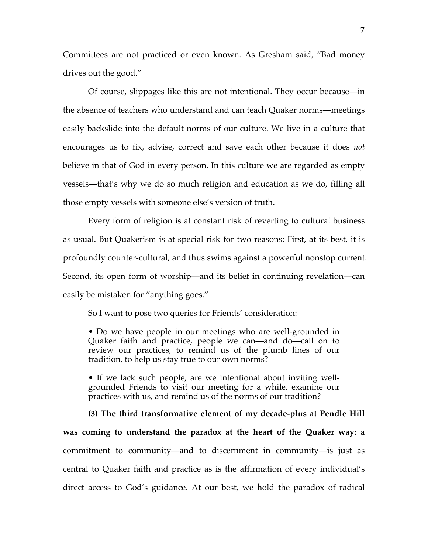Committees are not practiced or even known. As Gresham said, "Bad money drives out the good."

Of course, slippages like this are not intentional. They occur because—in the absence of teachers who understand and can teach Quaker norms—meetings easily backslide into the default norms of our culture. We live in a culture that encourages us to fix, advise, correct and save each other because it does *not* believe in that of God in every person. In this culture we are regarded as empty vessels—that's why we do so much religion and education as we do, filling all those empty vessels with someone else's version of truth.

Every form of religion is at constant risk of reverting to cultural business as usual. But Quakerism is at special risk for two reasons: First, at its best, it is profoundly counter-cultural, and thus swims against a powerful nonstop current. Second, its open form of worship—and its belief in continuing revelation—can easily be mistaken for "anything goes."

So I want to pose two queries for Friends' consideration:

• Do we have people in our meetings who are well-grounded in Quaker faith and practice, people we can—and do—call on to review our practices, to remind us of the plumb lines of our tradition, to help us stay true to our own norms?

• If we lack such people, are we intentional about inviting wellgrounded Friends to visit our meeting for a while, examine our practices with us, and remind us of the norms of our tradition?

**(3) The third transformative element of my decade-plus at Pendle Hill was coming to understand the paradox at the heart of the Quaker way:** a commitment to community—and to discernment in community—is just as central to Quaker faith and practice as is the affirmation of every individual's direct access to God's guidance. At our best, we hold the paradox of radical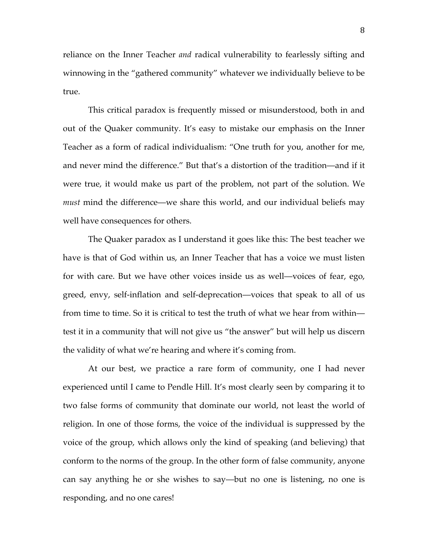reliance on the Inner Teacher *and* radical vulnerability to fearlessly sifting and winnowing in the "gathered community" whatever we individually believe to be true.

This critical paradox is frequently missed or misunderstood, both in and out of the Quaker community. It's easy to mistake our emphasis on the Inner Teacher as a form of radical individualism: "One truth for you, another for me, and never mind the difference." But that's a distortion of the tradition—and if it were true, it would make us part of the problem, not part of the solution. We *must* mind the difference—we share this world, and our individual beliefs may well have consequences for others.

The Quaker paradox as I understand it goes like this: The best teacher we have is that of God within us, an Inner Teacher that has a voice we must listen for with care. But we have other voices inside us as well—voices of fear, ego, greed, envy, self-inflation and self-deprecation—voices that speak to all of us from time to time. So it is critical to test the truth of what we hear from within test it in a community that will not give us "the answer" but will help us discern the validity of what we're hearing and where it's coming from.

At our best, we practice a rare form of community, one I had never experienced until I came to Pendle Hill. It's most clearly seen by comparing it to two false forms of community that dominate our world, not least the world of religion. In one of those forms, the voice of the individual is suppressed by the voice of the group, which allows only the kind of speaking (and believing) that conform to the norms of the group. In the other form of false community, anyone can say anything he or she wishes to say—but no one is listening, no one is responding, and no one cares!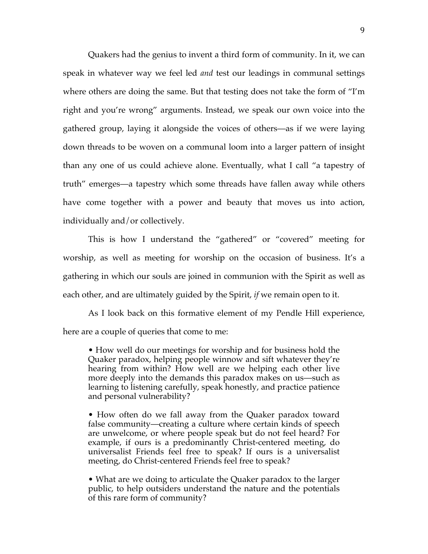Quakers had the genius to invent a third form of community. In it, we can speak in whatever way we feel led *and* test our leadings in communal settings where others are doing the same. But that testing does not take the form of "I'm right and you're wrong" arguments. Instead, we speak our own voice into the gathered group, laying it alongside the voices of others—as if we were laying down threads to be woven on a communal loom into a larger pattern of insight than any one of us could achieve alone. Eventually, what I call "a tapestry of truth" emerges—a tapestry which some threads have fallen away while others have come together with a power and beauty that moves us into action, individually and/or collectively.

This is how I understand the "gathered" or "covered" meeting for worship, as well as meeting for worship on the occasion of business. It's a gathering in which our souls are joined in communion with the Spirit as well as each other, and are ultimately guided by the Spirit, *if* we remain open to it.

As I look back on this formative element of my Pendle Hill experience, here are a couple of queries that come to me:

• How well do our meetings for worship and for business hold the Quaker paradox, helping people winnow and sift whatever they're hearing from within? How well are we helping each other live more deeply into the demands this paradox makes on us—such as learning to listening carefully, speak honestly, and practice patience and personal vulnerability?

• How often do we fall away from the Quaker paradox toward false community—creating a culture where certain kinds of speech are unwelcome, or where people speak but do not feel heard? For example, if ours is a predominantly Christ-centered meeting, do universalist Friends feel free to speak? If ours is a universalist meeting, do Christ-centered Friends feel free to speak?

• What are we doing to articulate the Quaker paradox to the larger public, to help outsiders understand the nature and the potentials of this rare form of community?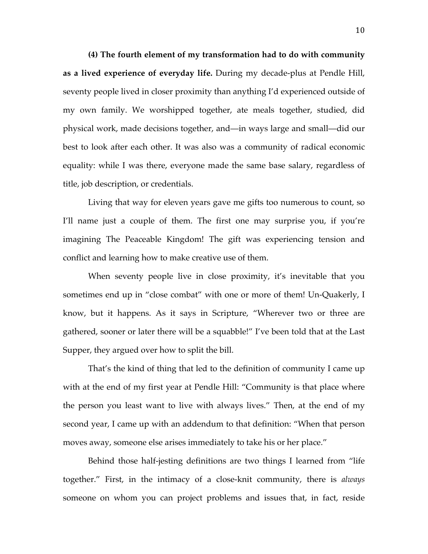**(4) The fourth element of my transformation had to do with community as a lived experience of everyday life.** During my decade-plus at Pendle Hill, seventy people lived in closer proximity than anything I'd experienced outside of my own family. We worshipped together, ate meals together, studied, did physical work, made decisions together, and—in ways large and small—did our best to look after each other. It was also was a community of radical economic equality: while I was there, everyone made the same base salary, regardless of title, job description, or credentials.

Living that way for eleven years gave me gifts too numerous to count, so I'll name just a couple of them. The first one may surprise you, if you're imagining The Peaceable Kingdom! The gift was experiencing tension and conflict and learning how to make creative use of them.

When seventy people live in close proximity, it's inevitable that you sometimes end up in "close combat" with one or more of them! Un-Quakerly, I know, but it happens. As it says in Scripture, "Wherever two or three are gathered, sooner or later there will be a squabble!" I've been told that at the Last Supper, they argued over how to split the bill.

That's the kind of thing that led to the definition of community I came up with at the end of my first year at Pendle Hill: "Community is that place where the person you least want to live with always lives." Then, at the end of my second year, I came up with an addendum to that definition: "When that person moves away, someone else arises immediately to take his or her place."

Behind those half-jesting definitions are two things I learned from "life together." First, in the intimacy of a close-knit community, there is *always* someone on whom you can project problems and issues that, in fact, reside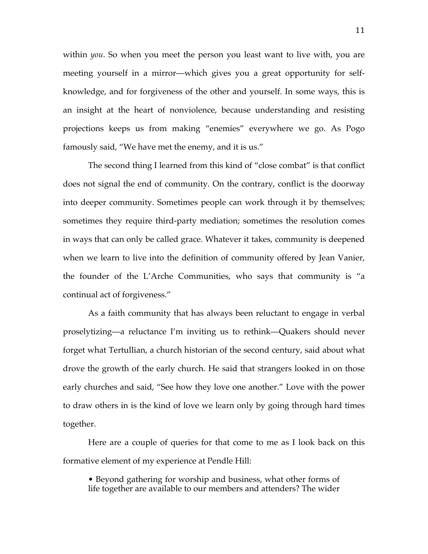within *you*. So when you meet the person you least want to live with, you are meeting yourself in a mirror—which gives you a great opportunity for selfknowledge, and for forgiveness of the other and yourself. In some ways, this is an insight at the heart of nonviolence, because understanding and resisting projections keeps us from making "enemies" everywhere we go. As Pogo famously said, "We have met the enemy, and it is us."

The second thing I learned from this kind of "close combat" is that conflict does not signal the end of community. On the contrary, conflict is the doorway into deeper community. Sometimes people can work through it by themselves; sometimes they require third-party mediation; sometimes the resolution comes in ways that can only be called grace. Whatever it takes, community is deepened when we learn to live into the definition of community offered by Jean Vanier, the founder of the L'Arche Communities, who says that community is "a continual act of forgiveness."

As a faith community that has always been reluctant to engage in verbal proselytizing—a reluctance I'm inviting us to rethink—Quakers should never forget what Tertullian, a church historian of the second century, said about what drove the growth of the early church. He said that strangers looked in on those early churches and said, "See how they love one another." Love with the power to draw others in is the kind of love we learn only by going through hard times together.

Here are a couple of queries for that come to me as I look back on this formative element of my experience at Pendle Hill:

• Beyond gathering for worship and business, what other forms of life together are available to our members and attenders? The wider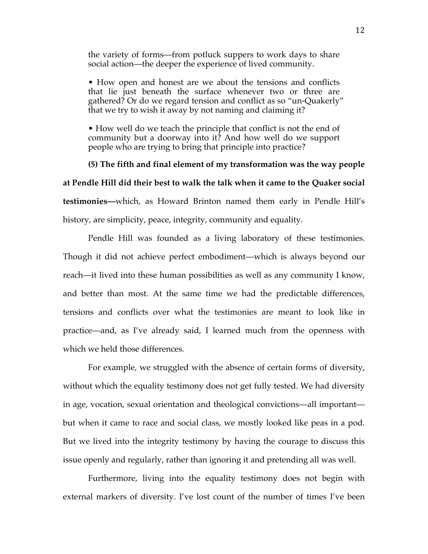the variety of forms—from potluck suppers to work days to share social action—the deeper the experience of lived community.

• How open and honest are we about the tensions and conflicts that lie just beneath the surface whenever two or three are gathered? Or do we regard tension and conflict as so "un-Quakerly" that we try to wish it away by not naming and claiming it?

• How well do we teach the principle that conflict is not the end of community but a doorway into it? And how well do we support people who are trying to bring that principle into practice?

**(5) The fifth and final element of my transformation was the way people at Pendle Hill did their best to walk the talk when it came to the Quaker social testimonies—**which, as Howard Brinton named them early in Pendle Hill's history, are simplicity, peace, integrity, community and equality.

Pendle Hill was founded as a living laboratory of these testimonies. Though it did not achieve perfect embodiment—which is always beyond our reach—it lived into these human possibilities as well as any community I know, and better than most. At the same time we had the predictable differences, tensions and conflicts over what the testimonies are meant to look like in practice—and, as I've already said, I learned much from the openness with which we held those differences.

For example, we struggled with the absence of certain forms of diversity, without which the equality testimony does not get fully tested. We had diversity in age, vocation, sexual orientation and theological convictions—all important but when it came to race and social class, we mostly looked like peas in a pod. But we lived into the integrity testimony by having the courage to discuss this issue openly and regularly, rather than ignoring it and pretending all was well.

Furthermore, living into the equality testimony does not begin with external markers of diversity. I've lost count of the number of times I've been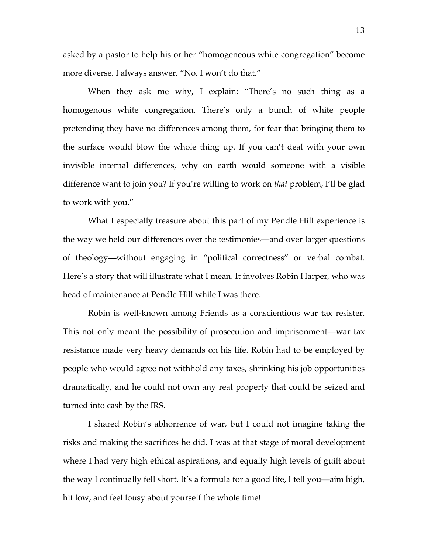asked by a pastor to help his or her "homogeneous white congregation" become more diverse. I always answer, "No, I won't do that."

When they ask me why, I explain: "There's no such thing as a homogenous white congregation. There's only a bunch of white people pretending they have no differences among them, for fear that bringing them to the surface would blow the whole thing up. If you can't deal with your own invisible internal differences, why on earth would someone with a visible difference want to join you? If you're willing to work on *that* problem, I'll be glad to work with you."

What I especially treasure about this part of my Pendle Hill experience is the way we held our differences over the testimonies—and over larger questions of theology—without engaging in "political correctness" or verbal combat. Here's a story that will illustrate what I mean. It involves Robin Harper, who was head of maintenance at Pendle Hill while I was there.

Robin is well-known among Friends as a conscientious war tax resister. This not only meant the possibility of prosecution and imprisonment—war tax resistance made very heavy demands on his life. Robin had to be employed by people who would agree not withhold any taxes, shrinking his job opportunities dramatically, and he could not own any real property that could be seized and turned into cash by the IRS.

I shared Robin's abhorrence of war, but I could not imagine taking the risks and making the sacrifices he did. I was at that stage of moral development where I had very high ethical aspirations, and equally high levels of guilt about the way I continually fell short. It's a formula for a good life, I tell you—aim high, hit low, and feel lousy about yourself the whole time!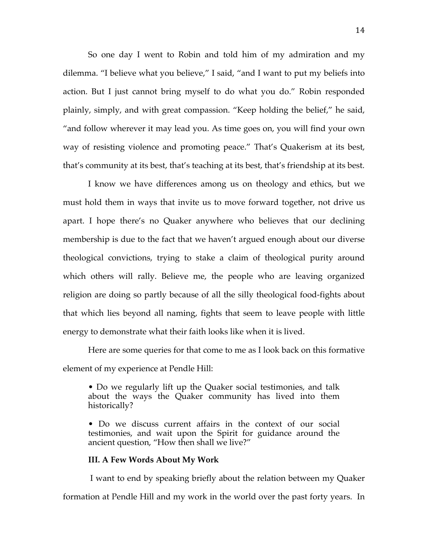So one day I went to Robin and told him of my admiration and my dilemma. "I believe what you believe," I said, "and I want to put my beliefs into action. But I just cannot bring myself to do what you do." Robin responded plainly, simply, and with great compassion. "Keep holding the belief," he said, "and follow wherever it may lead you. As time goes on, you will find your own way of resisting violence and promoting peace." That's Quakerism at its best, that's community at its best, that's teaching at its best, that's friendship at its best.

I know we have differences among us on theology and ethics, but we must hold them in ways that invite us to move forward together, not drive us apart. I hope there's no Quaker anywhere who believes that our declining membership is due to the fact that we haven't argued enough about our diverse theological convictions, trying to stake a claim of theological purity around which others will rally. Believe me, the people who are leaving organized religion are doing so partly because of all the silly theological food-fights about that which lies beyond all naming, fights that seem to leave people with little energy to demonstrate what their faith looks like when it is lived.

Here are some queries for that come to me as I look back on this formative element of my experience at Pendle Hill:

• Do we regularly lift up the Quaker social testimonies, and talk about the ways the Quaker community has lived into them historically?

• Do we discuss current affairs in the context of our social testimonies, and wait upon the Spirit for guidance around the ancient question, "How then shall we live?"

#### **III. A Few Words About My Work**

I want to end by speaking briefly about the relation between my Quaker formation at Pendle Hill and my work in the world over the past forty years. In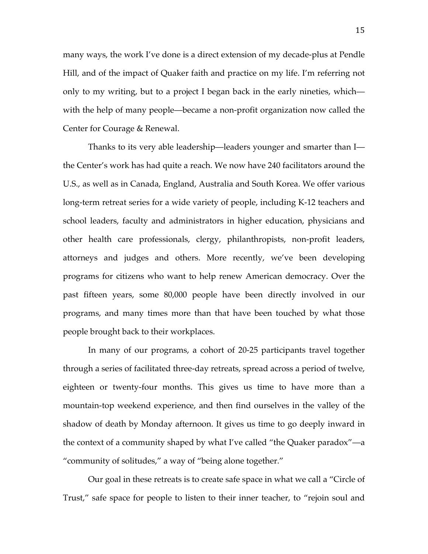many ways, the work I've done is a direct extension of my decade-plus at Pendle Hill, and of the impact of Quaker faith and practice on my life. I'm referring not only to my writing, but to a project I began back in the early nineties, which with the help of many people—became a non-profit organization now called the Center for Courage & Renewal.

Thanks to its very able leadership—leaders younger and smarter than I the Center's work has had quite a reach. We now have 240 facilitators around the U.S., as well as in Canada, England, Australia and South Korea. We offer various long-term retreat series for a wide variety of people, including K-12 teachers and school leaders, faculty and administrators in higher education, physicians and other health care professionals, clergy, philanthropists, non-profit leaders, attorneys and judges and others. More recently, we've been developing programs for citizens who want to help renew American democracy. Over the past fifteen years, some 80,000 people have been directly involved in our programs, and many times more than that have been touched by what those people brought back to their workplaces.

In many of our programs, a cohort of 20-25 participants travel together through a series of facilitated three-day retreats, spread across a period of twelve, eighteen or twenty-four months. This gives us time to have more than a mountain-top weekend experience, and then find ourselves in the valley of the shadow of death by Monday afternoon. It gives us time to go deeply inward in the context of a community shaped by what I've called "the Quaker paradox"—a "community of solitudes," a way of "being alone together."

Our goal in these retreats is to create safe space in what we call a "Circle of Trust," safe space for people to listen to their inner teacher, to "rejoin soul and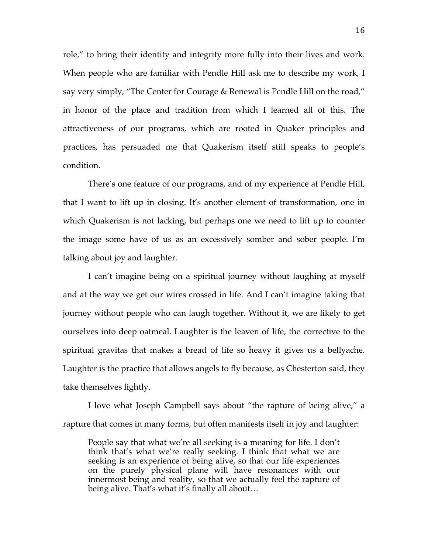role," to bring their identity and integrity more fully into their lives and work. When people who are familiar with Pendle Hill ask me to describe my work, I say very simply, "The Center for Courage & Renewal is Pendle Hill on the road," in honor of the place and tradition from which I learned all of this. The attractiveness of our programs, which are rooted in Quaker principles and practices, has persuaded me that Quakerism itself still speaks to people's condition.

There's one feature of our programs, and of my experience at Pendle Hill, that I want to lift up in closing. It's another element of transformation, one in which Quakerism is not lacking, but perhaps one we need to lift up to counter the image some have of us as an excessively somber and sober people. I'm talking about joy and laughter.

I can't imagine being on a spiritual journey without laughing at myself and at the way we get our wires crossed in life. And I can't imagine taking that journey without people who can laugh together. Without it, we are likely to get ourselves into deep oatmeal. Laughter is the leaven of life, the corrective to the spiritual gravitas that makes a bread of life so heavy it gives us a bellyache. Laughter is the practice that allows angels to fly because, as Chesterton said, they take themselves lightly.

I love what Joseph Campbell says about "the rapture of being alive," a rapture that comes in many forms, but often manifests itself in joy and laughter:

People say that what we're all seeking is a meaning for life. I don't think that's what we're really seeking. I think that what we are seeking is an experience of being alive, so that our life experiences on the purely physical plane will have resonances with our innermost being and reality, so that we actually feel the rapture of being alive. That's what it's finally all about…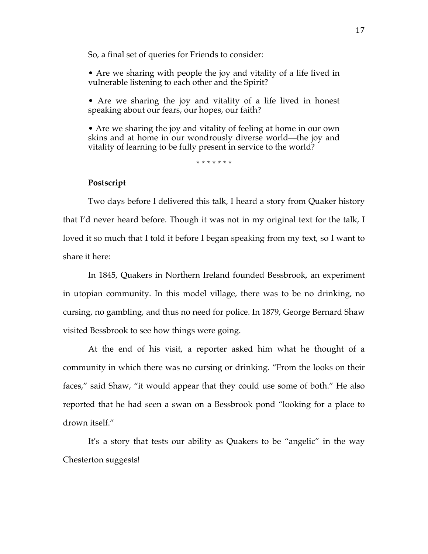So, a final set of queries for Friends to consider:

• Are we sharing with people the joy and vitality of a life lived in vulnerable listening to each other and the Spirit?

• Are we sharing the joy and vitality of a life lived in honest speaking about our fears, our hopes, our faith?

• Are we sharing the joy and vitality of feeling at home in our own skins and at home in our wondrously diverse world—the joy and vitality of learning to be fully present in service to the world?

\* \* \* \* \* \* \*

### **Postscript**

Two days before I delivered this talk, I heard a story from Quaker history that I'd never heard before. Though it was not in my original text for the talk, I loved it so much that I told it before I began speaking from my text, so I want to share it here:

In 1845, Quakers in Northern Ireland founded Bessbrook, an experiment in utopian community. In this model village, there was to be no drinking, no cursing, no gambling, and thus no need for police. In 1879, George Bernard Shaw visited Bessbrook to see how things were going.

At the end of his visit, a reporter asked him what he thought of a community in which there was no cursing or drinking. "From the looks on their faces," said Shaw, "it would appear that they could use some of both." He also reported that he had seen a swan on a Bessbrook pond "looking for a place to drown itself."

It's a story that tests our ability as Quakers to be "angelic" in the way Chesterton suggests!